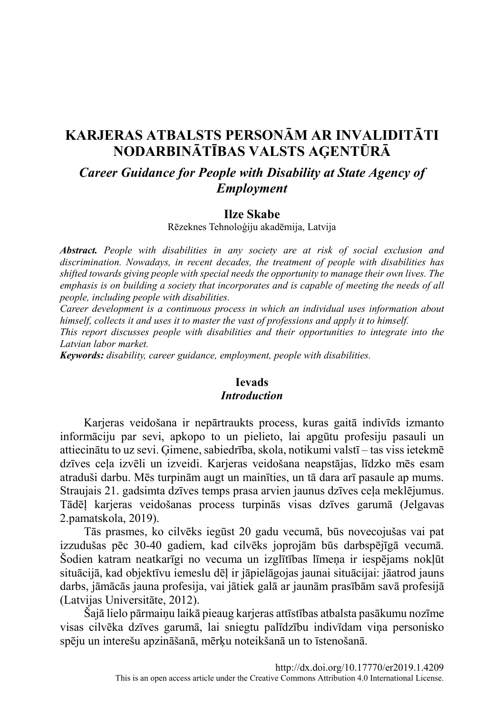# KARJERAS ATBALSTS PERSONĀM AR INVALIDITĀTI NODARBINĀTĪBAS VALSTS AGENTŪRĀ

## **Career Guidance for People with Disability at State Agency of Employment**

#### **Ilze Skabe**

Rēzeknes Tehnoloģiju akadēmija, Latvija

**Abstract.** People with disabilities in any society are at risk of social exclusion and discrimination. Nowadays, in recent decades, the treatment of people with disabilities has shifted towards giving people with special needs the opportunity to manage their own lives. The emphasis is on building a society that incorporates and is capable of meeting the needs of all people, including people with disabilities.

Career development is a continuous process in which an individual uses information about himself, collects it and uses it to master the vast of professions and apply it to himself.

This report discusses people with disabilities and their opportunities to integrate into the Latvian labor market.

**Keywords:** disability, career guidance, employment, people with disabilities.

### **Ievads**

#### **Introduction**

Karjeras veidošana ir nepārtraukts process, kuras gaitā indivīds izmanto informāciju par sevi, apkopo to un pielieto, lai apgūtu profesiju pasauli un attiecinātu to uz sevi. Gimene, sabiedrība, skola, notikumi valstī – tas viss ietekmē dzīves ceļa izvēli un izveidi. Karjeras veidošana neapstājas, līdzko mēs esam atraduši darbu. Mēs turpinām augt un mainīties, un tā dara arī pasaule ap mums. Straujais 21. gadsimta dzīves temps prasa arvien jaunus dzīves cela meklējumus. Tādēl karieras veidošanas process turpinās visas dzīves garumā (Jelgavas 2.pamatskola, 2019).

Tās prasmes, ko cilvēks iegūst 20 gadu vecumā, būs novecojušas vai pat izzudušas pēc 30-40 gadiem, kad cilvēks joprojām būs darbspējīgā vecumā. Sodien katram neatkarīgi no vecuma un izglītības līmeņa ir iespējams nokļūt situācijā, kad objektīvu iemeslu dēļ ir jāpielāgojas jaunai situācijai: jāatrod jauns darbs, jāmācās jauna profesija, vai jātiek galā ar jaunām prasībām savā profesijā (Latvijas Universitāte, 2012).

Šajā lielo pārmainu laikā pieaug karjeras attīstības atbalsta pasākumu nozīme visas cilvēka dzīves garumā, lai sniegtu palīdzību indivīdam viņa personisko spēju un interešu apzināšanā, mērķu noteikšanā un to īstenošanā.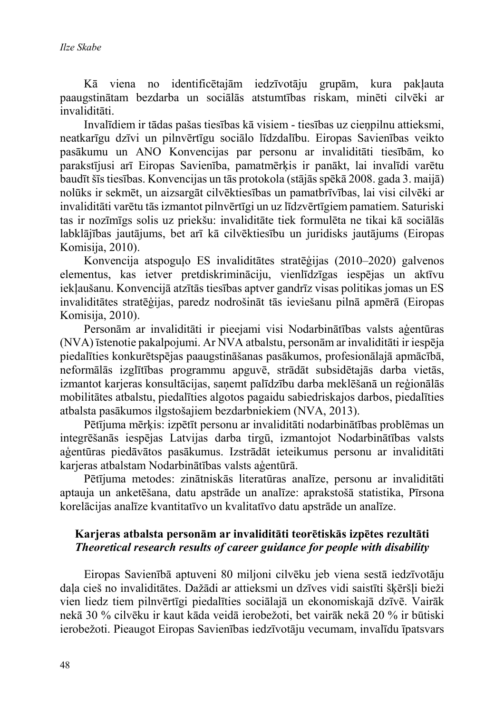Kā viena no identificētajām iedzīvotāju grupām, kura paklauta paaugstinātam bezdarba un sociālās atstumtības riskam, minēti cilvēki ar invaliditāti.

Invalīdiem ir tādas pašas tiesības kā visiem - tiesības uz cienpilnu attieksmi, neatkarīgu dzīvi un pilnvērtīgu sociālo līdzdalību. Eiropas Savienības veikto pasākumu un ANO Konvencijas par personu ar invaliditāti tiesībām, ko parakstījusi arī Eiropas Savienība, pamatmērkis ir panākt, lai invalīdi varētu baudīt šīs tiesības. Konvencijas un tās protokola (stājās spēkā 2008. gada 3. maijā) nolūks ir sekmēt, un aizsargāt cilvēktiesības un pamatbrīvības, lai visi cilvēki ar invaliditāti varētu tās izmantot pilnvērtīgi un uz līdzvērtīgiem pamatiem. Saturiski tas ir nozīmīgs solis uz priekšu: invaliditāte tiek formulēta ne tikai kā sociālās labklājības jautājums, bet arī kā cilvēktiesību un juridisks jautājums (Eiropas Komisija, 2010).

Konvencija atspoguļo ES invaliditātes stratēģijas (2010–2020) galvenos elementus, kas ietver pretdiskrimināciju, vienlīdzīgas iespējas un aktīvu iekļaušanu. Konvencijā atzītās tiesības aptver gandrīz visas politikas jomas un ES invaliditātes stratēģijas, paredz nodrošināt tās ieviešanu pilnā apmērā (Eiropas Komisija, 2010).

Personām ar invaliditāti ir pieejami visi Nodarbinātības valsts aģentūras (NVA) īstenotie pakalpojumi. Ar NVA atbalstu, personām ar invaliditāti ir iespēja piedalīties konkurētspējas paaugstināšanas pasākumos, profesionālajā apmācībā, neformālās izglītības programmu apguvē, strādāt subsidētajās darba vietās, izmantot karjeras konsultācijas, sanemt palīdzību darba meklēšanā un reģionālās mobilitātes atbalstu, piedalīties algotos pagaidu sabiedriskajos darbos, piedalīties atbalsta pasākumos ilgstošajiem bezdarbniekiem (NVA, 2013).

Pētījuma mērkis: izpētīt personu ar invaliditāti nodarbinātības problēmas un integrēšanās iespējas Latvijas darba tirgū, izmantojot Nodarbinātības valsts aģentūras piedāvātos pasākumus. Izstrādāt ieteikumus personu ar invaliditāti karjeras atbalstam Nodarbinātības valsts aģentūrā.

Pētījuma metodes: zinātniskās literatūras analīze, personu ar invaliditāti aptauja un anketēšana, datu apstrāde un analīze: aprakstošā statistika, Pīrsona korelācijas analīze kvantitatīvo un kvalitatīvo datu apstrāde un analīze.

### Karieras atbalsta personām ar invaliditāti teorētiskās izpētes rezultāti *Theoretical research results of career guidance for people with disability*

Eiropas Savienībā aptuveni 80 miljoni cilvēku jeb viena sestā iedzīvotāju dala cieš no invaliditātes. Dažādi ar attieksmi un dzīves vidi saistīti škēršli bieži vien liedz tiem pilnvērtīgi piedalīties sociālajā un ekonomiskajā dzīvē. Vairāk nekā 30 % cilvēku ir kaut kāda veidā ierobežoti, bet vairāk nekā 20 % ir būtiski ierobežoti. Pieaugot Eiropas Savienības iedzīvotāju vecumam, invalīdu īpatsvars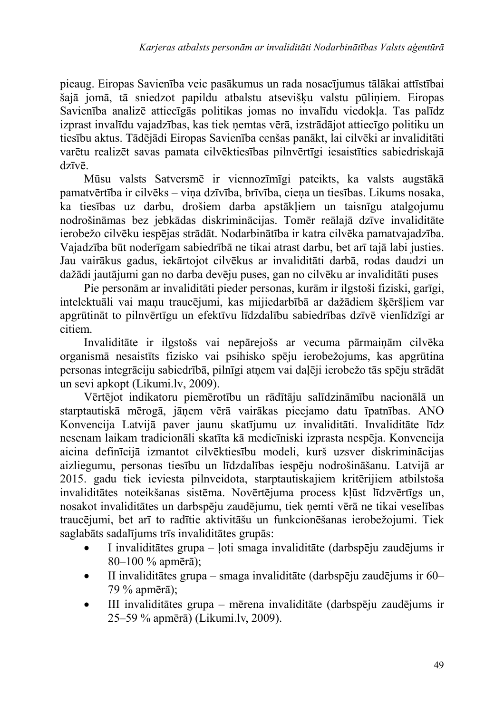pieaug. Eiropas Savienība veic pasākumus un rada nosacījumus tālākai attīstībai šajā jomā, tā sniedzot papildu atbalstu atsevišku valstu pūliniem. Eiropas Savienība analizē attiecīgās politikas jomas no invalīdu viedokla. Tas palīdz izprast invalīdu vajadzības, kas tiek nemtas vērā, izstrādājot attiecīgo politiku un tiesību aktus. Tādējādi Eiropas Savienība cenšas panākt, lai cilvēki ar invaliditāti varētu realizēt savas pamata cilvēktiesības pilnvērtīgi iesaistīties sabiedriskajā dzīvē.

Mūsu valsts Satversmē ir viennozīmīgi pateikts, ka valsts augstākā pamatvērtība ir cilvēks - viņa dzīvība, brīvība, cieņa un tiesības. Likums nosaka, ka tiesības uz darbu, drošiem darba apstākļiem un taisnīgu atalgojumu nodrošināmas bez jebkādas diskriminācijas. Tomēr reālajā dzīve invaliditāte ierobežo cilvēku iespējas strādāt. Nodarbinātība ir katra cilvēka pamatvajadzība. Vajadzība būt noderīgam sabiedrībā ne tikai atrast darbu, bet arī tajā labi justies. Jau vairākus gadus, iekārtojot cilvēkus ar invaliditāti darbā, rodas daudzi un dažādi jautājumi gan no darba devēju puses, gan no cilvēku ar invaliditāti puses

Pie personām ar invaliditāti pieder personas, kurām ir ilgstoši fiziski, garīgi, intelektuāli vai manu traucējumi, kas mijiedarbībā ar dažādiem škēršliem var apgrūtināt to pilnvērtīgu un efektīvu līdzdalību sabiedrības dzīvē vienlīdzīgi ar citiem.

Invaliditāte ir ilgstošs vai nepārejošs ar vecuma pārmaiņām cilvēka organismā nesaistīts fizisko vai psihisko spēju ierobežojums, kas apgrūtina personas integrāciju sabiedrībā, pilnīgi atnem vai dalēji ierobežo tās spēju strādāt un sevi apkopt (Likumi.lv, 2009).

Vērtējot indikatoru piemērotību un rādītāju salīdzināmību nacionālā un starptautiskā mērogā, jāņem vērā vairākas pieejamo datu īpatnības. ANO Konvencija Latvijā paver jaunu skatījumu uz invaliditāti. Invaliditāte līdz nesenam laikam tradicionāli skatīta kā medicīniski izprasta nespēja. Konvencija aicina definīcijā izmantot cilvēktiesību modeli, kurš uzsver diskriminācijas aizliegumu, personas tiesību un līdzdalības iespēju nodrošināšanu. Latvijā ar 2015. gadu tiek ieviesta pilnveidota, starptautiskajiem kritērijiem atbilstoša invaliditātes noteikšanas sistēma. Novērtējuma process kļūst līdzvērtīgs un, nosakot invaliditātes un darbspēju zaudējumu, tiek nemti vērā ne tikai veselības traucējumi, bet arī to radītie aktivitāšu un funkcionēšanas ierobežojumi. Tiek saglabāts sadalījums trīs invaliditātes grupās:

- I invaliditātes grupa ļoti smaga invaliditāte (darbspēju zaudējums ir  $\bullet$  $80 - 100 \%$  apmērā);
- II invaliditātes grupa smaga invaliditāte (darbspēju zaudējums ir  $60 79\%$  apmērā);
- III invaliditātes grupa mērena invaliditāte (darbspēju zaudējums ir 25–59 % apmērā) (Likumi.lv, 2009).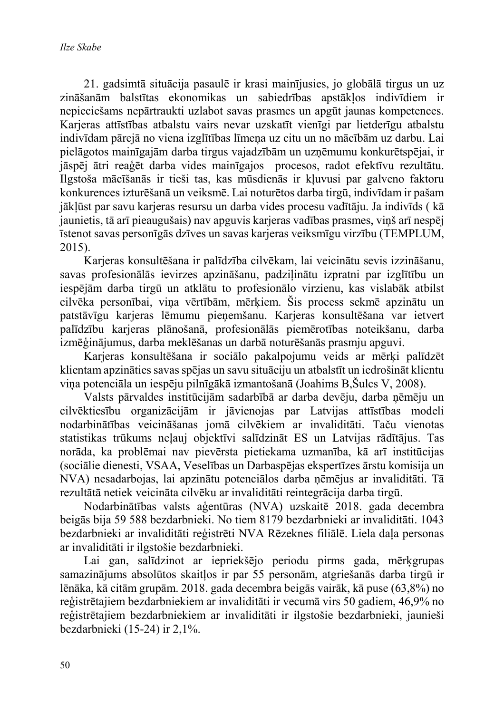21. gadsimtā situācija pasaulē ir krasi mainījusies, jo globālā tirgus un uz zināšanām balstītas ekonomikas un sabiedrības apstāklos indivīdiem ir nepieciešams nepārtraukti uzlabot savas prasmes un apgūt jaunas kompetences. Karjeras attīstības atbalstu vairs nevar uzskatīt vienīgi par lietderīgu atbalstu indivīdam pārejā no viena izglītības līmena uz citu un no mācībām uz darbu. Lai pielāgotos mainīgajām darba tirgus vajadzībām un uzņēmumu konkurētspējai, ir jāspēj ātri reaģēt darba vides mainīgajos procesos, radot efektīvu rezultātu. Ilgstoša mācīšanās ir tieši tas, kas mūsdienās ir kļuvusi par galveno faktoru konkurences izturēšanā un veiksmē. Lai noturētos darba tirgū, indivīdam ir pašam jākļūst par savu karjeras resursu un darba vides procesu vadītāju. Ja indivīds (kā jaunietis, tā arī pieaugušais) nav apguvis karjeras vadības prasmes, viņš arī nespēj īstenot savas personīgās dzīves un savas karjeras veiksmīgu virzību (TEMPLUM,  $2015$ ).

Karjeras konsultēšana ir palīdzība cilvēkam, lai veicinātu sevis izzināšanu, savas profesionālās ievirzes apzināšanu, padziļinātu izpratni par izglītību un iespējām darba tirgū un atklātu to profesionālo virzienu, kas vislabāk atbilst cilvēka personībai, vina vērtībām, mērkiem. Šis process sekmē apzinātu un patstāvīgu karjeras lēmumu pienemšanu. Karjeras konsultēšana var ietvert palīdzību karieras plānošanā, profesionālās piemērotības noteikšanu, darba izmēģinājumus, darba meklēšanas un darbā noturēšanās prasmju apguvi.

Karjeras konsultēšana ir sociālo pakalpojumu veids ar mērki palīdzēt klientam apzināties savas spējas un savu situāciju un atbalstīt un iedrošināt klientu vina potenciāla un iespēju pilnīgākā izmantošanā (Joahims B, Šulcs V, 2008).

Valsts pārvaldes institūcijām sadarbībā ar darba devēju, darba nēmēju un cilvēktiesību organizācijām ir jāvienojas par Latvijas attīstības modeli nodarbinātības veicināšanas jomā cilvēkiem ar invaliditāti. Taču vienotas statistikas trūkums neļauj objektīvi salīdzināt ES un Latvijas rādītājus. Tas norāda, ka problēmai nav pievērsta pietiekama uzmanība, kā arī institūcijas (sociālie dienesti, VSAA, Veselības un Darbaspējas ekspertīzes ārstu komisija un NVA) nesadarbojas, lai apzinātu potenciālos darba nēmējus ar invaliditāti. Tā rezultātā netiek veicināta cilvēku ar invaliditāti reintegrācija darba tirgū.

Nodarbinātības valsts aģentūras (NVA) uzskaitē 2018. gada decembra beigās bija 59 588 bezdarbnieki. No tiem 8179 bezdarbnieki ar invaliditāti. 1043 bezdarbnieki ar invaliditāti reģistrēti NVA Rēzeknes filiālē. Liela daļa personas ar invaliditāti ir ilgstošie bezdarbnieki.

Lai gan, salīdzinot ar iepriekšējo periodu pirms gada, mērkgrupas samazinājums absolūtos skaitlos ir par 55 personām, atgriešanās darba tirgū ir lēnāka, kā citām grupām. 2018. gada decembra beigās vairāk, kā puse (63,8%) no reģistrētajiem bezdarbniekiem ar invaliditāti ir vecumā virs 50 gadiem, 46,9% no reģistrētajiem bezdarbniekiem ar invaliditāti ir ilgstošie bezdarbnieki, jaunieši bezdarbnieki (15-24) ir  $2,1\%$ .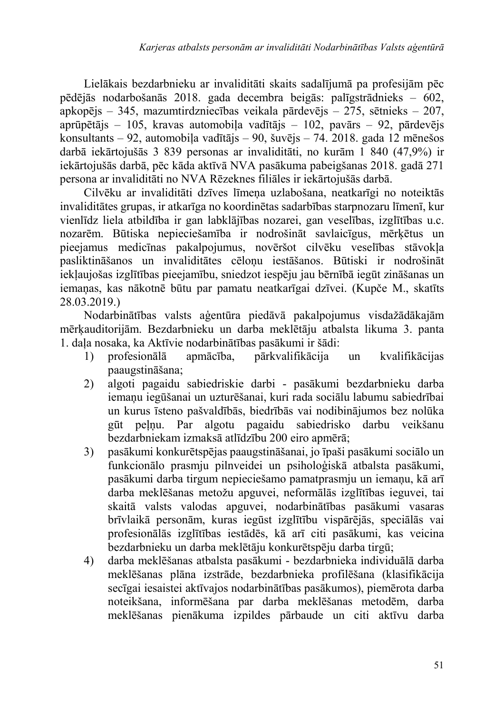Lielākais bezdarbnieku ar invaliditāti skaits sadalījumā pa profesijām pēc pēdējās nodarbošanās 2018. gada decembra beigās: palīgstrādnieks – 602. apkopējs - 345, mazumtirdzniecības veikala pārdevējs - 275, sētnieks - 207, aprūpētājs - 105, kravas automobila vadītājs - 102, pavārs - 92, pārdevējs konsultants – 92, automobila vadītājs – 90, šuvējs – 74. 2018. gada 12 mēnešos darbā iekārtojušās 3 839 personas ar invaliditāti, no kurām 1 840 (47,9%) ir iekārtojušās darbā, pēc kāda aktīvā NVA pasākuma pabeigšanas 2018. gadā 271 persona ar invaliditāti no NVA Rēzeknes filiāles ir iekārtojušās darbā.

Cilvēku ar invaliditāti dzīves līmena uzlabošana, neatkarīgi no noteiktās invaliditātes grupas, ir atkarīga no koordinētas sadarbības starpnozaru līmenī, kur vienlīdz liela atbildība ir gan labklājības nozarei, gan veselības, izglītības u.c. nozarēm. Būtiska nepieciešamība ir nodrošināt savlaicīgus, mērķētus un pieejamus medicīnas pakalpojumus, novēršot cilvēku veselības stāvokla pasliktināšanos un invaliditātes cēloņu iestāšanos. Būtiski ir nodrošināt iekļaujošas izglītības pieejamību, sniedzot iespēju jau bērnībā iegūt zināšanas un iemanas, kas nākotnē būtu par pamatu neatkarīgai dzīvei. (Kupče M., skatīts 28.03.2019.)

Nodarbinātības valsts aģentūra piedāvā pakalpojumus visdažādākajām mērkauditorijām. Bezdarbnieku un darba meklētāju atbalsta likuma 3. panta 1. daļa nosaka, ka Aktīvie nodarbinātības pasākumi ir šādi:

- apmācība,  $\left( \frac{1}{2} \right)$ profesionālā pārkvalifikācija un kvalifikācijas paaugstināšana;
- algoti pagaidu sabiedriskie darbi pasākumi bezdarbnieku darba  $(2)$ iemanu iegūšanai un uzturēšanai, kuri rada sociālu labumu sabiedrībai un kurus īsteno pašvaldībās, biedrībās vai nodibinājumos bez nolūka gūt pelnu. Par algotu pagaidu sabiedrisko darbu veikšanu bezdarbniekam izmaksā atlīdzību 200 eiro apmērā;
- $3)$ pasākumi konkurētspējas paaugstināšanai, jo īpaši pasākumi sociālo un funkcionālo prasmju pilnveidei un psiholoģiskā atbalsta pasākumi, pasākumi darba tirgum nepieciešamo pamatprasmju un iemanu, kā arī darba meklēšanas metožu apguvei, neformālās izglītības ieguvei, tai skaitā valsts valodas apguvei, nodarbinātības pasākumi vasaras brīvlaikā personām, kuras iegūst izglītību vispārējās, speciālās vai profesionālās izglītības iestādēs, kā arī citi pasākumi, kas veicina bezdarbnieku un darba meklētāju konkurētspēju darba tirgū;
- darba meklēšanas atbalsta pasākumi bezdarbnieka individuālā darba  $4)$ meklēšanas plāna izstrāde, bezdarbnieka profilēšana (klasifikācija secīgai iesaistei aktīvaios nodarbinātības pasākumos), piemērota darba noteikšana, informēšana par darba meklēšanas metodēm, darba meklēšanas pienākuma izpildes pārbaude un citi aktīvu darba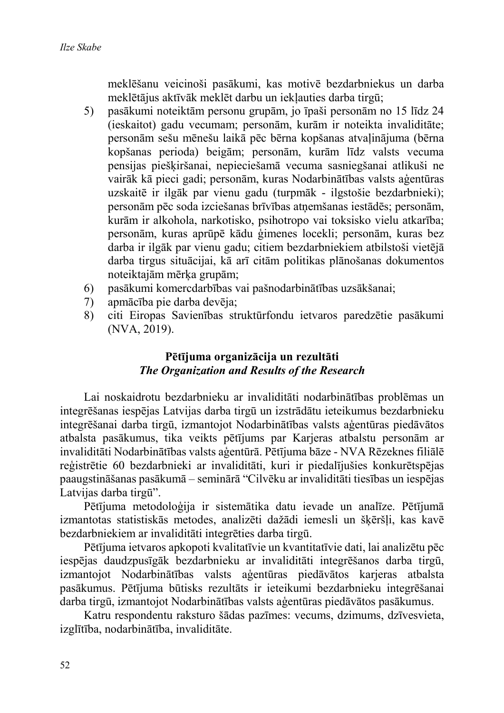meklēšanu veicinoši pasākumi, kas motivē bezdarbniekus un darba meklētājus aktīvāk meklēt darbu un ieklauties darba tirgū;

- pasākumi noteiktām personu grupām, jo īpaši personām no 15 līdz 24  $5)$ (ieskaitot) gadu vecumam; personām, kurām ir noteikta invaliditāte; personām sešu mēnešu laikā pēc bērna kopšanas atvaļinājuma (bērna kopšanas perioda) beigām; personām, kurām līdz valsts vecuma pensijas pieškiršanai, nepieciešamā vecuma sasniegšanai atlikuši ne vairāk kā pieci gadi; personām, kuras Nodarbinātības valsts aģentūras uzskaitē ir ilgāk par vienu gadu (turpmāk - ilgstošie bezdarbnieki); personām pēc soda izciešanas brīvības atņemšanas iestādēs; personām, kurām ir alkohola, narkotisko, psihotropo vai toksisko vielu atkarība; personām, kuras aprūpē kādu ģimenes locekli; personām, kuras bez darba ir ilgāk par vienu gadu; citiem bezdarbniekiem atbilstoši vietējā darba tirgus situācijai, kā arī citām politikas plānošanas dokumentos noteiktajām mērķa grupām;
- pasākumi komercdarbības vai pašnodarbinātības uzsākšanai; 6)
- apmācība pie darba devēja;  $7)$
- citi Eiropas Savienības struktūrfondu ietvaros paredzētie pasākumi 8) (NVA, 2019).

### Pētījuma organizācija un rezultāti The Organization and Results of the Research

Lai noskaidrotu bezdarbnieku ar invaliditāti nodarbinātības problēmas un integrēšanas iespējas Latvijas darba tirgū un izstrādātu ieteikumus bezdarbnieku integrēšanai darba tirgū, izmantojot Nodarbinātības valsts aģentūras piedāvātos atbalsta pasākumus, tika veikts pētījums par Karjeras atbalstu personām ar invaliditāti Nodarbinātības valsts aģentūrā. Pētījuma bāze - NVA Rēzeknes filiālē reģistrētie 60 bezdarbnieki ar invaliditāti, kuri ir piedalījušies konkurētspējas paaugstināšanas pasākumā - seminārā "Cilvēku ar invaliditāti tiesības un iespējas Latvijas darba tirgū".

Pētījuma metodoloģija ir sistemātika datu ievade un analīze. Pētījumā izmantotas statistiskās metodes, analizēti dažādi iemesli un šķēršļi, kas kavē bezdarbniekiem ar invaliditāti integrēties darba tirgū.

Pētījuma ietvaros apkopoti kvalitatīvie un kvantitatīvie dati, lai analizētu pēc iespējas daudzpusīgāk bezdarbnieku ar invaliditāti integrēšanos darba tirgū, izmantojot Nodarbinātības valsts aģentūras piedāvātos karjeras atbalsta pasākumus. Pētījuma būtisks rezultāts ir ieteikumi bezdarbnieku integrēšanai darba tirgū, izmantojot Nodarbinātības valsts aģentūras piedāvātos pasākumus.

Katru respondentu raksturo šādas pazīmes: vecums, dzimums, dzīvesvieta, izglītība, nodarbinātība, invaliditāte.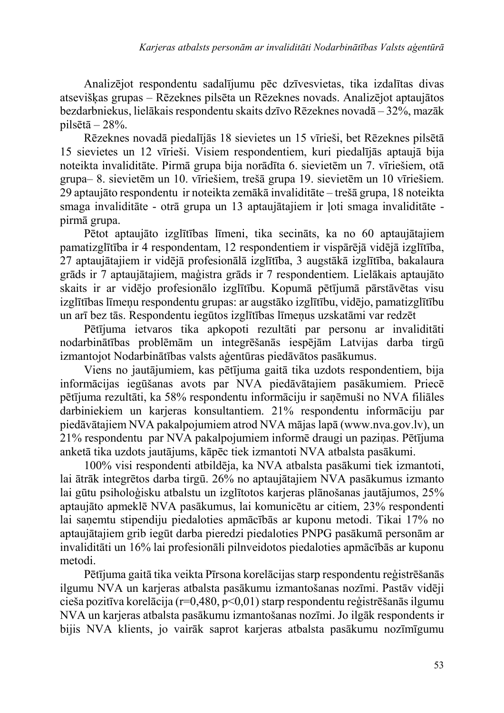Analizējot respondentu sadalījumu pēc dzīvesvietas, tika izdalītas divas atseviškas grupas – Rēzeknes pilsēta un Rēzeknes novads. Analizējot aptaujātos bezdarbniekus, lielākais respondentu skaits dzīvo Rēzeknes novadā - 32%, mazāk pilsētā  $-28%$ .

Rēzeknes novadā piedalījās 18 sievietes un 15 vīrieši, bet Rēzeknes pilsētā 15 sievietes un 12 vīrieši. Visiem respondentiem, kuri piedalījās aptaujā bija noteikta invaliditāte. Pirmā grupa bija norādīta 6. sievietēm un 7. vīriešiem, otā grupa-8. sievietēm un 10. vīriešiem, trešā grupa 19. sievietēm un 10 vīriešiem. 29 aptaujāto respondentu ir noteikta zemākā invaliditāte – trešā grupa, 18 noteikta smaga invaliditāte - otrā grupa un 13 aptaujātajiem ir ļoti smaga invaliditāte pirmā grupa.

Pētot aptaujāto izglītības līmeni, tika secināts, ka no 60 aptaujātajiem pamatizglītība ir 4 respondentam, 12 respondentiem ir vispārējā vidējā izglītība, 27 aptaujātajiem ir vidējā profesionālā izglītība, 3 augstākā izglītība, bakalaura grāds ir 7 aptaujātajiem, maģistra grāds ir 7 respondentiem. Lielākais aptaujāto skaits ir ar vidējo profesionālo izglītību. Kopumā pētījumā pārstāvētas visu izglītības līmenu respondentu grupas: ar augstāko izglītību, vidējo, pamatizglītību un arī bez tās. Respondentu iegūtos izglītības līmenus uzskatāmi var redzēt

Pētījuma ietvaros tika apkopoti rezultāti par personu ar invaliditāti nodarbinātības problēmām un integrēšanās iespējām Latvijas darba tirgū izmantojot Nodarbinātības valsts aģentūras piedāvātos pasākumus.

Viens no jautājumiem, kas pētījuma gaitā tika uzdots respondentiem, bija informācijas iegūšanas avots par NVA piedāvātajiem pasākumiem. Priecē pētījuma rezultāti, ka 58% respondentu informāciju ir sanēmuši no NVA filiāles darbiniekiem un karjeras konsultantiem. 21% respondentu informāciju par piedāvātajiem NVA pakalpojumiem atrod NVA mājas lapā (www.nva.gov.lv), un 21% respondentu par NVA pakalpojumiem informē draugi un paziņas. Pētījuma anketā tika uzdots jautājums, kāpēc tiek izmantoti NVA atbalsta pasākumi.

100% visi respondenti atbildēja, ka NVA atbalsta pasākumi tiek izmantoti, lai ātrāk integrētos darba tirgū. 26% no aptaujātajiem NVA pasākumus izmanto lai gūtu psiholoģisku atbalstu un izglītotos karjeras plānošanas jautājumos, 25% aptaujāto apmeklē NVA pasākumus, lai komunicētu ar citiem, 23% respondenti lai sanemtu stipendiju piedaloties apmācībās ar kuponu metodi. Tikai 17% no aptaujātajiem grib iegūt darba pieredzi piedaloties PNPG pasākumā personām ar invaliditāti un 16% lai profesionāli pilnveidotos piedaloties apmācībās ar kuponu metodi.

Pētījuma gaitā tika veikta Pīrsona korelācijas starp respondentu reģistrēšanās ilgumu NVA un karjeras atbalsta pasākumu izmantošanas nozīmi. Pastāv vidēji cieša pozitīva korelācija ( $r=0,480, p<0,01$ ) starp respondentu reģistrēšanās ilgumu NVA un karjeras atbalsta pasākumu izmantošanas nozīmi. Jo ilgāk respondents ir bijis NVA klients, jo vairāk saprot karjeras atbalsta pasākumu nozīmīgumu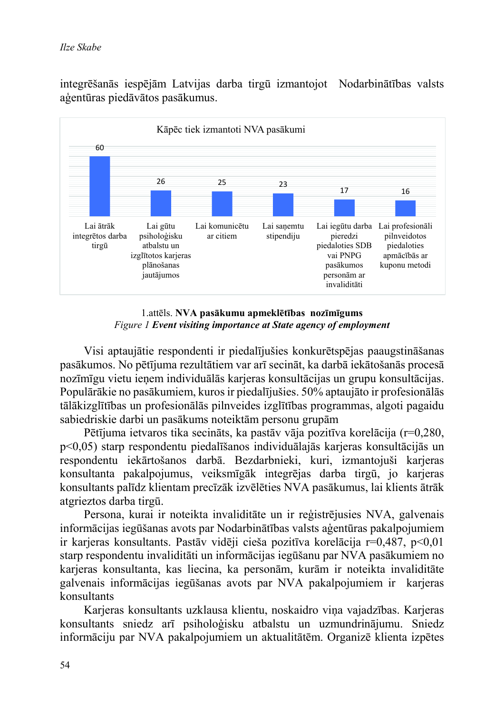integrēšanās iespējām Latvijas darba tirgū izmantojot Nodarbinātības valsts aģentūras piedāvātos pasākumus.



1.attēls. NVA pasākumu apmeklētības nozīmīgums Figure 1 Event visiting importance at State agency of employment

Visi aptaujātie respondenti ir piedalījušies konkurētspējas paaugstināšanas pasākumos. No pētījuma rezultātiem var arī secināt, ka darbā iekātošanās procesā nozīmīgu vietu ieņem individuālās karjeras konsultācijas un grupu konsultācijas. Populārākie no pasākumiem, kuros ir piedalījušies. 50% aptaujāto ir profesionālās tālākizglītības un profesionālās pilnveides izglītības programmas, algoti pagaidu sabiedriskie darbi un pasākums noteiktām personu grupām

Pētījuma ietvaros tika secināts, ka pastāv vāja pozitīva korelācija (r=0,280,  $p<0,05$ ) starp respondentu piedalīšanos individuālajās karjeras konsultācijās un respondentu iekārtošanos darbā. Bezdarbnieki, kuri, izmantojuši karjeras konsultanta pakalpojumus, veiksmīgāk integrējas darba tirgū, jo karjeras konsultants palīdz klientam precīzāk izvēlēties NVA pasākumus, lai klients ātrāk atgrieztos darba tirgū.

Persona, kurai ir noteikta invaliditāte un ir reģistrējusies NVA, galvenais informācijas iegūšanas avots par Nodarbinātības valsts aģentūras pakalpojumiem ir karjeras konsultants. Pastāv vidēji cieša pozitīva korelācija r=0,487, p<0,01 starp respondentu invaliditāti un informācijas iegūšanu par NVA pasākumiem no karjeras konsultanta, kas liecina, ka personām, kurām ir noteikta invaliditāte galvenais informācijas iegūšanas avots par NVA pakalpojumiem ir karjeras konsultants

Karjeras konsultants uzklausa klientu, noskaidro viņa vajadzības. Karjeras konsultants sniedz arī psiholoģisku atbalstu un uzmundrinājumu. Sniedz informāciju par NVA pakalpojumiem un aktualitātēm. Organizē klienta izpētes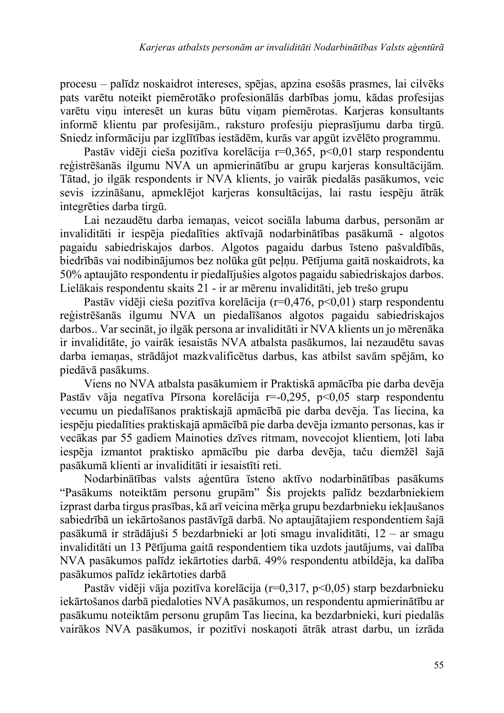procesu – palīdz noskaidrot intereses, spējas, apzina esošās prasmes, lai cilvēks pats varētu noteikt piemērotāko profesionālās darbības iomu, kādas profesijas varētu vinu interesēt un kuras būtu vinam piemērotas. Karjeras konsultants informē klientu par profesijām., raksturo profesiju pieprasījumu darba tirgū. Sniedz informāciju par izglītības iestādēm, kurās var apgūt izvēlēto programmu.

Pastāv vidēji cieša pozitīva korelācija  $r=0.365$ ,  $p<0.01$  starp respondentu reģistrēšanās ilgumu NVA un apmierinātību ar grupu karjeras konsultācijām. Tātad, jo ilgāk respondents ir NVA klients, jo vairāk piedalās pasākumos, veic sevis izzināšanu, apmeklējot karjeras konsultācijas, lai rastu iespēju ātrāk integrēties darba tirgū.

Lai nezaudētu darba iemanas, veicot sociāla labuma darbus, personām ar invaliditāti ir iespēja piedalīties aktīvajā nodarbinātības pasākumā - algotos pagaidu sabiedriskajos darbos. Algotos pagaidu darbus īsteno pašvaldībās, biedrībās vai nodibinājumos bez nolūka gūt peļņu. Pētījuma gaitā noskaidrots, ka 50% aptaujāto respondentu ir piedalījušies algotos pagaidu sabiedriskajos darbos. Lielākais respondentu skaits 21 - ir ar mērenu invaliditāti, jeb trešo grupu

Pastāv vidēji cieša pozitīva korelācija ( $r=0.476$ ,  $p<0.01$ ) starp respondentu reģistrēšanās ilgumu NVA un piedalīšanos algotos pagaidu sabiedriskajos darbos.. Var secināt, jo ilgāk persona ar invaliditāti ir NVA klients un jo mērenāka ir invaliditāte, jo vairāk iesaistās NVA atbalsta pasākumos, lai nezaudētu savas darba iemaņas, strādājot mazkvalificētus darbus, kas atbilst savām spējām, ko piedāvā pasākums.

Viens no NVA atbalsta pasākumiem ir Praktiskā apmācība pie darba devēja Pastāv vāja negatīva Pīrsona korelācija  $r=0.295$ ,  $p<0.05$  starp respondentu vecumu un piedalīšanos praktiskajā apmācībā pie darba devēja. Tas liecina, ka iespēju piedalīties praktiskajā apmācībā pie darba devēja izmanto personas, kas ir vecākas par 55 gadiem Mainoties dzīves ritmam, novecojot klientiem, ļoti laba iespēja izmantot praktisko apmācību pie darba devēja, taču diemžēl šajā pasākumā klienti ar invaliditāti ir iesaistīti reti.

Nodarbinātības valsts aģentūra īsteno aktīvo nodarbinātības pasākums "Pasākums noteiktām personu grupām" Šis projekts palīdz bezdarbniekiem izprast darba tirgus prasības, kā arī veicina mērķa grupu bezdarbnieku iekļaušanos sabiedrībā un iekārtošanos pastāvīgā darbā. No aptaujātajiem respondentiem šajā pasākumā ir strādājuši 5 bezdarbnieki ar loti smagu invaliditāti, 12 – ar smagu invaliditāti un 13 Pētījuma gaitā respondentiem tika uzdots jautājums, vai dalība NVA pasākumos palīdz iekārtoties darbā. 49% respondentu atbildēja, ka dalība pasākumos palīdz iekārtoties darbā

Pastāv vidēji vāja pozitīva korelācija ( $r=0.317$ ,  $p<0.05$ ) starp bezdarbnieku iekārtošanos darbā piedaloties NVA pasākumos, un respondentu apmierinātību ar pasākumu noteiktām personu grupām Tas liecina, ka bezdarbnieki, kuri piedalās vairākos NVA pasākumos, ir pozitīvi noskanoti ātrāk atrast darbu, un izrāda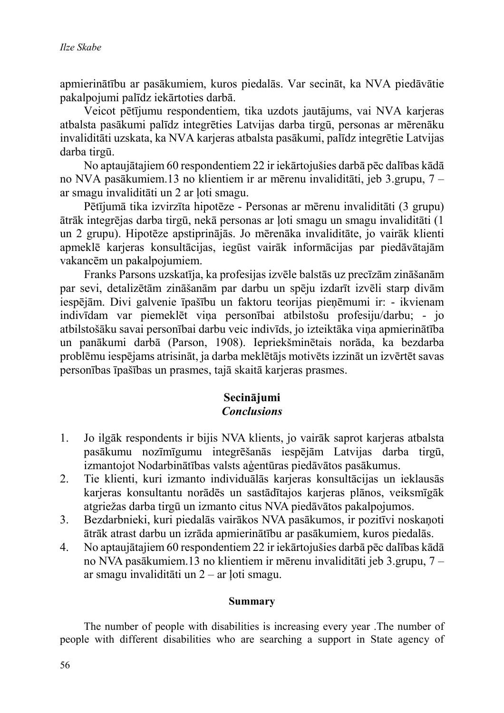apmierinātību ar pasākumiem, kuros piedalās. Var secināt, ka NVA piedāvātie pakalpojumi palīdz iekārtoties darbā.

Veicot pētījumu respondentiem, tika uzdots jautājums, vai NVA karjeras atbalsta pasākumi palīdz integrēties Latvijas darba tirgū, personas ar mērenāku invaliditāti uzskata, ka NVA karjeras atbalsta pasākumi, palīdz integrētie Latvijas darba tirgū.

No aptaujātajiem 60 respondentiem 22 ir iekārtojušies darbā pēc dalības kādā no NVA pasākumiem.13 no klientiem ir ar mērenu invaliditāti, jeb 3.grupu, 7 ar smagu invaliditāti un 2 ar ļoti smagu.

Pētījumā tika izvirzīta hipotēze - Personas ar mērenu invaliditāti (3 grupu) ātrāk integrējas darba tirgū, nekā personas ar loti smagu un smagu invaliditāti (1 un 2 grupu). Hipotēze apstiprinājās. Jo mērenāka invaliditāte, jo vairāk klienti apmeklē karjeras konsultācijas, iegūst vairāk informācijas par piedāvātajām vakancēm un pakalpojumiem.

Franks Parsons uzskatīja, ka profesijas izvēle balstās uz precīzām zināšanām par sevi, detalizētām zināšanām par darbu un spēju izdarīt izvēli starp divām iespējām. Divi galvenie īpašību un faktoru teorijas pienēmumi ir: - ikvienam indivīdam var piemeklēt viņa personībai atbilstošu profesiju/darbu; - jo atbilstošāku savai personībai darbu veic indivīds, jo izteiktāka viņa apmierinātība un panākumi darbā (Parson, 1908). Iepriekšminētais norāda, ka bezdarba problēmu iespējams atrisināt, ja darba meklētājs motivēts izzināt un izvērtēt savas personības īpašības un prasmes, tajā skaitā karjeras prasmes.

### Secinājumi **Conclusions**

- 1. Jo ilgāk respondents ir bijis NVA klients, jo vairāk saprot karjeras atbalsta pasākumu nozīmīgumu integrēšanās iespējām Latvijas darba tirgū, izmantojot Nodarbinātības valsts aģentūras piedāvātos pasākumus.
- Tie klienti, kuri izmanto individuālās karjeras konsultācijas un iekļausās  $2.$ karjeras konsultantu norādēs un sastādītajos karjeras plānos, veiksmīgāk atgriežas darba tirgū un izmanto citus NVA piedāvātos pakalpojumos.
- Bezdarbnieki, kuri piedalās vairākos NVA pasākumos, ir pozitīvi noskaņoti  $3.$ ātrāk atrast darbu un izrāda apmierinātību ar pasākumiem, kuros piedalās.
- No aptaujātajiem 60 respondentiem 22 ir iekārtojušies darbā pēc dalības kādā  $4.$ no NVA pasākumiem. 13 no klientiem ir mērenu invaliditāti jeb 3. grupu, 7 ar smagu invaliditāti un  $2 - ar$  loti smagu.

#### **Summary**

The number of people with disabilities is increasing every year. The number of people with different disabilities who are searching a support in State agency of